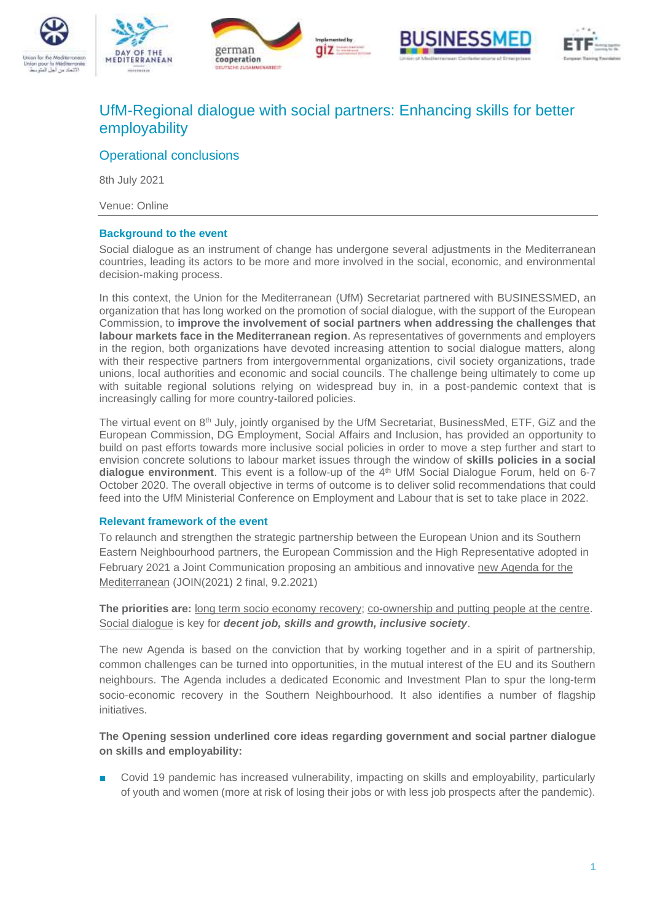









# UfM-Regional dialogue with social partners: Enhancing skills for better employability

# Operational conclusions

8th July 2021

Venue: Online

## **Background to the event**

Social dialogue as an instrument of change has undergone several adjustments in the Mediterranean countries, leading its actors to be more and more involved in the social, economic, and environmental decision-making process.

In this context, the Union for the Mediterranean (UfM) Secretariat partnered with BUSINESSMED, an organization that has long worked on the promotion of social dialogue, with the support of the European Commission, to **improve the involvement of social partners when addressing the challenges that labour markets face in the Mediterranean region**. As representatives of governments and employers in the region, both organizations have devoted increasing attention to social dialogue matters, along with their respective partners from intergovernmental organizations, civil society organizations, trade unions, local authorities and economic and social councils. The challenge being ultimately to come up with suitable regional solutions relying on widespread buy in, in a post-pandemic context that is increasingly calling for more country-tailored policies.

The virtual event on  $8<sup>th</sup>$  July, jointly organised by the UfM Secretariat, BusinessMed, ETF, GiZ and the European Commission, DG Employment, Social Affairs and Inclusion, has provided an opportunity to build on past efforts towards more inclusive social policies in order to move a step further and start to envision concrete solutions to labour market issues through the window of **skills policies in a social dialogue environment**. This event is a follow-up of the 4th UfM Social Dialogue Forum, held on 6-7 October 2020. The overall objective in terms of outcome is to deliver solid recommendations that could feed into the UfM Ministerial Conference on Employment and Labour that is set to take place in 2022.

#### **Relevant framework of the event**

To relaunch and strengthen the strategic partnership between the European Union and its Southern Eastern Neighbourhood partners, the European Commission and the High Representative adopted in February 2021 a Joint Communication proposing an ambitious and innovative [new Agenda for the](https://eeas.europa.eu/headquarters/headquarters-homepage/92844/joint-communication-southern-neighbourhood_en)  [Mediterranean](https://eeas.europa.eu/headquarters/headquarters-homepage/92844/joint-communication-southern-neighbourhood_en) (JOIN(2021) 2 final, 9.2.2021)

**The priorities are:** long term socio economy recovery; co-ownership and putting people at the centre. Social dialogue is key for *decent job, skills and growth, inclusive society*.

The new Agenda is based on the conviction that by working together and in a spirit of partnership, common challenges can be turned into opportunities, in the mutual interest of the EU and its Southern neighbours. The Agenda includes a dedicated Economic and Investment Plan to spur the long-term socio-economic recovery in the Southern Neighbourhood. It also identifies a number of flagship initiatives.

# **The Opening session underlined core ideas regarding government and social partner dialogue on skills and employability:**

Covid 19 pandemic has increased vulnerability, impacting on skills and employability, particularly of youth and women (more at risk of losing their jobs or with less job prospects after the pandemic).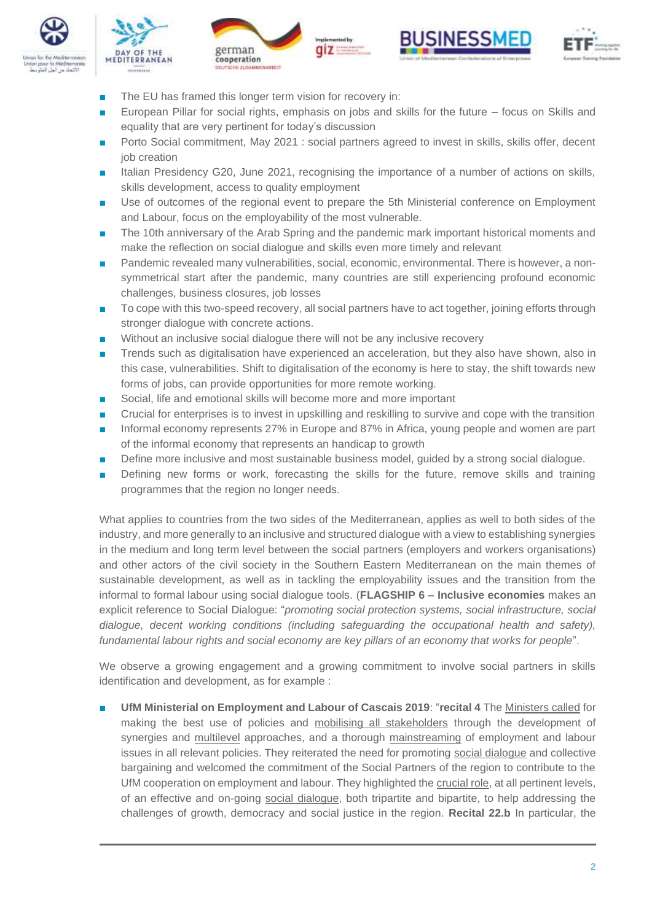









- The EU has framed this longer term vision for recovery in:
- European Pillar for social rights, emphasis on jobs and skills for the future focus on Skills and equality that are very pertinent for today's discussion
- Porto Social commitment, May 2021 : social partners agreed to invest in skills, skills offer, decent job creation
- Italian Presidency G20, June 2021, recognising the importance of a number of actions on skills, skills development, access to quality employment
- Use of outcomes of the regional event to prepare the 5th Ministerial conference on Employment and Labour, focus on the employability of the most vulnerable.
- The 10th anniversary of the Arab Spring and the pandemic mark important historical moments and make the reflection on social dialogue and skills even more timely and relevant
- Pandemic revealed many vulnerabilities, social, economic, environmental. There is however, a nonsymmetrical start after the pandemic, many countries are still experiencing profound economic challenges, business closures, job losses
- To cope with this two-speed recovery, all social partners have to act together, joining efforts through stronger dialogue with concrete actions.
- Without an inclusive social dialogue there will not be any inclusive recovery
- Trends such as digitalisation have experienced an acceleration, but they also have shown, also in this case, vulnerabilities. Shift to digitalisation of the economy is here to stay, the shift towards new forms of jobs, can provide opportunities for more remote working.
- Social, life and emotional skills will become more and more important
- Crucial for enterprises is to invest in upskilling and reskilling to survive and cope with the transition
- Informal economy represents 27% in Europe and 87% in Africa, young people and women are part of the informal economy that represents an handicap to growth
- Define more inclusive and most sustainable business model, guided by a strong social dialogue.
- Defining new forms or work, forecasting the skills for the future, remove skills and training programmes that the region no longer needs.

What applies to countries from the two sides of the Mediterranean, applies as well to both sides of the industry, and more generally to an inclusive and structured dialogue with a view to establishing synergies in the medium and long term level between the social partners (employers and workers organisations) and other actors of the civil society in the Southern Eastern Mediterranean on the main themes of sustainable development, as well as in tackling the employability issues and the transition from the informal to formal labour using social dialogue tools. (**FLAGSHIP 6 – Inclusive economies** makes an explicit reference to Social Dialogue: "*promoting social protection systems, social infrastructure, social*  dialogue, decent working conditions (including safeguarding the occupational health and safety), *fundamental labour rights and social economy are key pillars of an economy that works for people*".

We observe a growing engagement and a growing commitment to involve social partners in skills identification and development, as for example :

■ **UfM Ministerial on Employment and Labour of Cascais 2019**: "**recital 4** The Ministers called for making the best use of policies and mobilising all stakeholders through the development of synergies and multilevel approaches, and a thorough mainstreaming of employment and labour issues in all relevant policies. They reiterated the need for promoting social dialogue and collective bargaining and welcomed the commitment of the Social Partners of the region to contribute to the UfM cooperation on employment and labour. They highlighted the crucial role, at all pertinent levels, of an effective and on-going social dialogue, both tripartite and bipartite, to help addressing the challenges of growth, democracy and social justice in the region. **Recital 22.b** In particular, the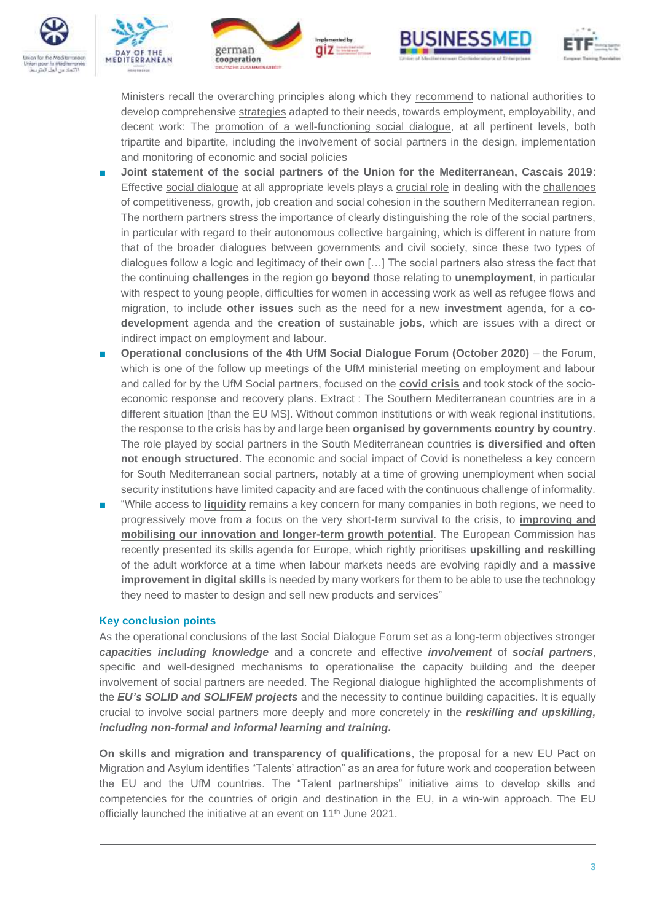









Ministers recall the overarching principles along which they recommend to national authorities to develop comprehensive strategies adapted to their needs, towards employment, employability, and decent work: The promotion of a well-functioning social dialogue, at all pertinent levels, both tripartite and bipartite, including the involvement of social partners in the design, implementation and monitoring of economic and social policies

- **Joint statement of the social partners of the Union for the Mediterranean, Cascais 2019**: Effective social dialogue at all appropriate levels plays a crucial role in dealing with the challenges of competitiveness, growth, job creation and social cohesion in the southern Mediterranean region. The northern partners stress the importance of clearly distinguishing the role of the social partners, in particular with regard to their autonomous collective bargaining, which is different in nature from that of the broader dialogues between governments and civil society, since these two types of dialogues follow a logic and legitimacy of their own […] The social partners also stress the fact that the continuing **challenges** in the region go **beyond** those relating to **unemployment**, in particular with respect to young people, difficulties for women in accessing work as well as refugee flows and migration, to include **other issues** such as the need for a new **investment** agenda, for a **codevelopment** agenda and the **creation** of sustainable **jobs**, which are issues with a direct or indirect impact on employment and labour.
- **Operational conclusions of the 4th UfM Social Dialogue Forum (October 2020)** the Forum, which is one of the follow up meetings of the UfM ministerial meeting on employment and labour and called for by the UfM Social partners, focused on the **covid crisis** and took stock of the socioeconomic response and recovery plans. Extract : The Southern Mediterranean countries are in a different situation [than the EU MS]. Without common institutions or with weak regional institutions, the response to the crisis has by and large been **organised by governments country by country**. The role played by social partners in the South Mediterranean countries **is diversified and often not enough structured**. The economic and social impact of Covid is nonetheless a key concern for South Mediterranean social partners, notably at a time of growing unemployment when social security institutions have limited capacity and are faced with the continuous challenge of informality.
- "While access to **liquidity** remains a key concern for many companies in both regions, we need to progressively move from a focus on the very short-term survival to the crisis, to **improving and mobilising our innovation and longer-term growth potential**. The European Commission has recently presented its skills agenda for Europe, which rightly prioritises **upskilling and reskilling** of the adult workforce at a time when labour markets needs are evolving rapidly and a **massive improvement in digital skills** is needed by many workers for them to be able to use the technology they need to master to design and sell new products and services"

# **Key conclusion points**

As the operational conclusions of the last Social Dialogue Forum set as a long-term objectives stronger *capacities including knowledge* and a concrete and effective *involvement* of *social partners*, specific and well-designed mechanisms to operationalise the capacity building and the deeper involvement of social partners are needed. The Regional dialogue highlighted the accomplishments of the *EU's SOLID and SOLIFEM projects* and the necessity to continue building capacities. It is equally crucial to involve social partners more deeply and more concretely in the *reskilling and upskilling, including non-formal and informal learning and training.*

**On skills and migration and transparency of qualifications**, the proposal for a new EU Pact on Migration and Asylum identifies "Talents' attraction" as an area for future work and cooperation between the EU and the UfM countries. The "Talent partnerships" initiative aims to develop skills and competencies for the countries of origin and destination in the EU, in a win-win approach. The EU officially launched the initiative at an event on 11<sup>th</sup> June 2021.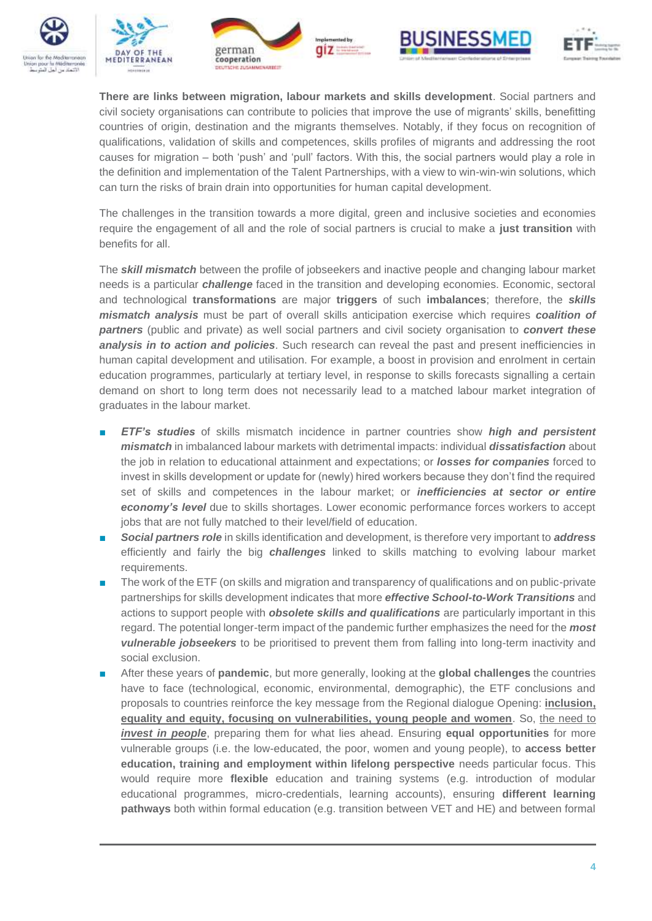









**There are links between migration, labour markets and skills development**. Social partners and civil society organisations can contribute to policies that improve the use of migrants' skills, benefitting countries of origin, destination and the migrants themselves. Notably, if they focus on recognition of qualifications, validation of skills and competences, skills profiles of migrants and addressing the root causes for migration – both 'push' and 'pull' factors. With this, the social partners would play a role in the definition and implementation of the Talent Partnerships, with a view to win-win-win solutions, which can turn the risks of brain drain into opportunities for human capital development.

The challenges in the transition towards a more digital, green and inclusive societies and economies require the engagement of all and the role of social partners is crucial to make a **just transition** with benefits for all.

The *skill mismatch* between the profile of jobseekers and inactive people and changing labour market needs is a particular *challenge* faced in the transition and developing economies. Economic, sectoral and technological **transformations** are major **triggers** of such **imbalances**; therefore, the *skills mismatch analysis* must be part of overall skills anticipation exercise which requires *coalition of partners* (public and private) as well social partners and civil society organisation to *convert these analysis in to action and policies*. Such research can reveal the past and present inefficiencies in human capital development and utilisation. For example, a boost in provision and enrolment in certain education programmes, particularly at tertiary level, in response to skills forecasts signalling a certain demand on short to long term does not necessarily lead to a matched labour market integration of graduates in the labour market.

- *ETF's studies* of skills mismatch incidence in partner countries show *high and persistent mismatch* in imbalanced labour markets with detrimental impacts: individual *dissatisfaction* about the job in relation to educational attainment and expectations; or *losses for companies* forced to invest in skills development or update for (newly) hired workers because they don't find the required set of skills and competences in the labour market; or *inefficiencies at sector or entire economy's level* due to skills shortages. Lower economic performance forces workers to accept jobs that are not fully matched to their level/field of education.
- **Social partners role** in skills identification and development, is therefore very important to **address** efficiently and fairly the big *challenges* linked to skills matching to evolving labour market requirements.
- The work of the ETF (on skills and migration and transparency of qualifications and on public-private partnerships for skills development indicates that more *effective School-to-Work Transitions* and actions to support people with *obsolete skills and qualifications* are particularly important in this regard. The potential longer-term impact of the pandemic further emphasizes the need for the *most vulnerable jobseekers* to be prioritised to prevent them from falling into long-term inactivity and social exclusion.
- After these years of **pandemic**, but more generally, looking at the **global challenges** the countries have to face (technological, economic, environmental, demographic), the ETF conclusions and proposals to countries reinforce the key message from the Regional dialogue Opening: **inclusion, equality and equity, focusing on vulnerabilities, young people and women**. So, the need to *invest in people*, preparing them for what lies ahead. Ensuring **equal opportunities** for more vulnerable groups (i.e. the low-educated, the poor, women and young people), to **access better education, training and employment within lifelong perspective** needs particular focus. This would require more **flexible** education and training systems (e.g. introduction of modular educational programmes, micro-credentials, learning accounts), ensuring **different learning pathways** both within formal education (e.g. transition between VET and HE) and between formal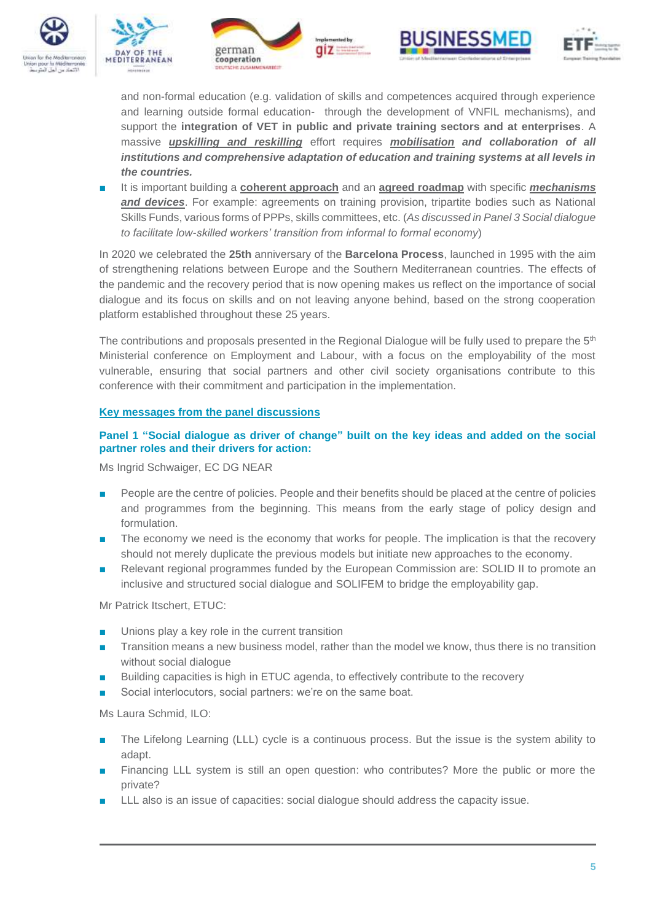









and non-formal education (e.g. validation of skills and competences acquired through experience and learning outside formal education- through the development of VNFIL mechanisms), and support the **integration of VET in public and private training sectors and at enterprises**. A massive *upskilling and reskilling* effort requires *mobilisation and collaboration of all institutions and comprehensive adaptation of education and training systems at all levels in the countries.* 

■ It is important building a **coherent approach** and an **agreed roadmap** with specific *mechanisms and devices*. For example: agreements on training provision, tripartite bodies such as National Skills Funds, various forms of PPPs, skills committees, etc. (*As discussed in Panel 3 Social dialogue to facilitate low-skilled workers' transition from informal to formal economy*)

In 2020 we celebrated the **25th** anniversary of the **Barcelona Process**, launched in 1995 with the aim of strengthening relations between Europe and the Southern Mediterranean countries. The effects of the pandemic and the recovery period that is now opening makes us reflect on the importance of social dialogue and its focus on skills and on not leaving anyone behind, based on the strong cooperation platform established throughout these 25 years.

The contributions and proposals presented in the Regional Dialogue will be fully used to prepare the  $5<sup>th</sup>$ Ministerial conference on Employment and Labour, with a focus on the employability of the most vulnerable, ensuring that social partners and other civil society organisations contribute to this conference with their commitment and participation in the implementation.

## **Key messages from the panel discussions**

## **Panel 1 "Social dialogue as driver of change" built on the key ideas and added on the social partner roles and their drivers for action:**

Ms Ingrid Schwaiger, EC DG NEAR

- People are the centre of policies. People and their benefits should be placed at the centre of policies and programmes from the beginning. This means from the early stage of policy design and formulation.
- The economy we need is the economy that works for people. The implication is that the recovery should not merely duplicate the previous models but initiate new approaches to the economy.
- Relevant regional programmes funded by the European Commission are: SOLID II to promote an inclusive and structured social dialogue and SOLIFEM to bridge the employability gap.

Mr Patrick Itschert, ETUC:

- Unions play a key role in the current transition
- Transition means a new business model, rather than the model we know, thus there is no transition without social dialogue
- Building capacities is high in ETUC agenda, to effectively contribute to the recovery
- Social interlocutors, social partners: we're on the same boat.

Ms Laura Schmid, ILO:

- The Lifelong Learning (LLL) cycle is a continuous process. But the issue is the system ability to adapt.
- Financing LLL system is still an open question: who contributes? More the public or more the private?
- LLL also is an issue of capacities: social dialogue should address the capacity issue.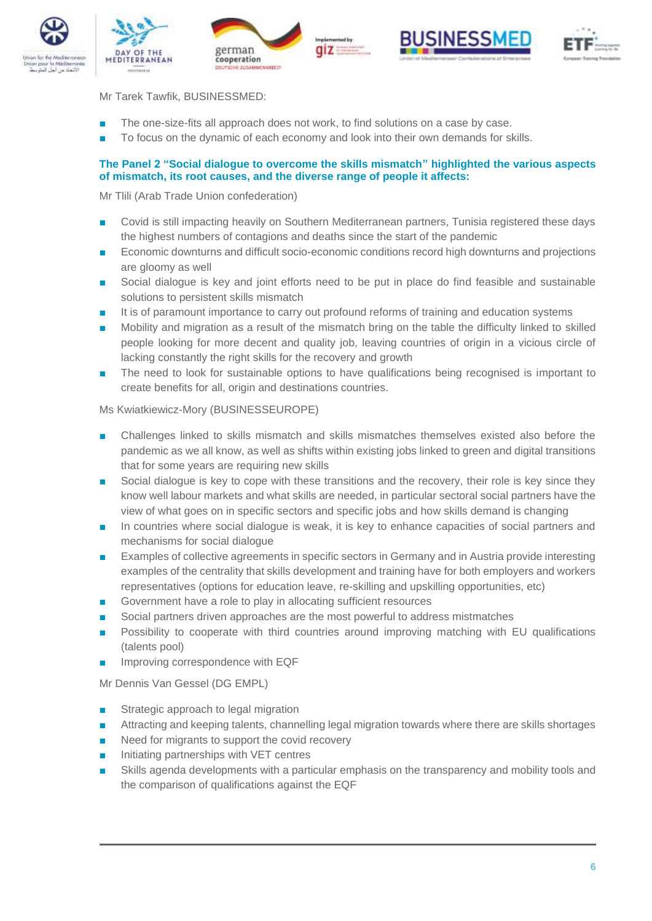









Mr Tarek Tawfik, BUSINESSMED:

- The one-size-fits all approach does not work, to find solutions on a case by case.
- To focus on the dynamic of each economy and look into their own demands for skills.

## **The Panel 2 "Social dialogue to overcome the skills mismatch" highlighted the various aspects of mismatch, its root causes, and the diverse range of people it affects:**

Mr Tlili (Arab Trade Union confederation)

- Covid is still impacting heavily on Southern Mediterranean partners, Tunisia registered these days the highest numbers of contagions and deaths since the start of the pandemic
- Economic downturns and difficult socio-economic conditions record high downturns and projections are gloomy as well
- Social dialogue is key and joint efforts need to be put in place do find feasible and sustainable solutions to persistent skills mismatch
- It is of paramount importance to carry out profound reforms of training and education systems
- Mobility and migration as a result of the mismatch bring on the table the difficulty linked to skilled people looking for more decent and quality job, leaving countries of origin in a vicious circle of lacking constantly the right skills for the recovery and growth
- The need to look for sustainable options to have qualifications being recognised is important to create benefits for all, origin and destinations countries.

#### Ms Kwiatkiewicz-Mory (BUSINESSEUROPE)

- Challenges linked to skills mismatch and skills mismatches themselves existed also before the pandemic as we all know, as well as shifts within existing jobs linked to green and digital transitions that for some years are requiring new skills
- Social dialogue is key to cope with these transitions and the recovery, their role is key since they know well labour markets and what skills are needed, in particular sectoral social partners have the view of what goes on in specific sectors and specific jobs and how skills demand is changing
- In countries where social dialogue is weak, it is key to enhance capacities of social partners and mechanisms for social dialogue
- Examples of collective agreements in specific sectors in Germany and in Austria provide interesting examples of the centrality that skills development and training have for both employers and workers representatives (options for education leave, re-skilling and upskilling opportunities, etc)
- Government have a role to play in allocating sufficient resources
- Social partners driven approaches are the most powerful to address mistmatches
- Possibility to cooperate with third countries around improving matching with EU qualifications (talents pool)
- Improving correspondence with EQF

Mr Dennis Van Gessel (DG EMPL)

- Strategic approach to legal migration
- Attracting and keeping talents, channelling legal migration towards where there are skills shortages
- Need for migrants to support the covid recovery
- Initiating partnerships with VET centres
- Skills agenda developments with a particular emphasis on the transparency and mobility tools and the comparison of qualifications against the EQF